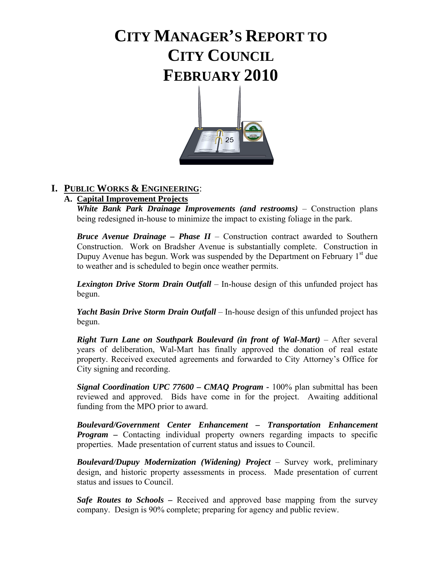# **CITY MANAGER'S REPORT TO CITY COUNCIL FEBRUARY 2010**



### **I. PUBLIC WORKS & ENGINEERING**:

### **A. Capital Improvement Projects**

*White Bank Park Drainage Improvements (and restrooms) – Construction plans* being redesigned in-house to minimize the impact to existing foliage in the park.

*Bruce Avenue Drainage – Phase II* – Construction contract awarded to Southern Construction. Work on Bradsher Avenue is substantially complete. Construction in Dupuy Avenue has begun. Work was suspended by the Department on February  $1<sup>st</sup>$  due to weather and is scheduled to begin once weather permits.

*Lexington Drive Storm Drain Outfall* – In-house design of this unfunded project has begun.

 *Yacht Basin Drive Storm Drain Outfall* – In-house design of this unfunded project has begun.

*Right Turn Lane on Southpark Boulevard (in front of Wal-Mart)* – After several years of deliberation, Wal-Mart has finally approved the donation of real estate property. Received executed agreements and forwarded to City Attorney's Office for City signing and recording.

*Signal Coordination UPC 77600 – CMAQ Program - 100%* plan submittal has been reviewed and approved. Bids have come in for the project. Awaiting additional funding from the MPO prior to award.

*Boulevard/Government Center Enhancement – Transportation Enhancement Program –* Contacting individual property owners regarding impacts to specific properties. Made presentation of current status and issues to Council.

 *Boulevard/Dupuy Modernization (Widening) Project* – Survey work, preliminary design, and historic property assessments in process. Made presentation of current status and issues to Council.

*Safe Routes to Schools* – Received and approved base mapping from the survey company. Design is 90% complete; preparing for agency and public review.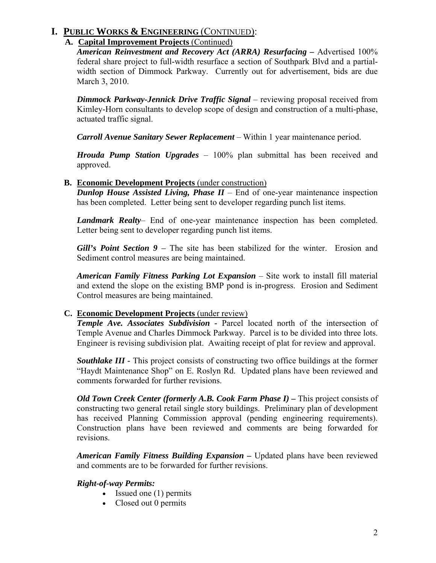### **I. PUBLIC WORKS & ENGINEERING** (CONTINUED):

### **A. Capital Improvement Projects** (Continued)

*American Reinvestment and Recovery Act (ARRA) Resurfacing –* Advertised 100% federal share project to full-width resurface a section of Southpark Blvd and a partialwidth section of Dimmock Parkway. Currently out for advertisement, bids are due March 3, 2010.

*Dimmock Parkway-Jennick Drive Traffic Signal* – reviewing proposal received from Kimley-Horn consultants to develop scope of design and construction of a multi-phase, actuated traffic signal.

*Carroll Avenue Sanitary Sewer Replacement* – Within 1 year maintenance period.

*Hrouda Pump Station Upgrades* – 100% plan submittal has been received and approved.

### **B. Economic Development Projects** (under construction)

*Dunlop House Assisted Living, Phase II* – End of one-year maintenance inspection has been completed. Letter being sent to developer regarding punch list items.

*Landmark Realty*– End of one-year maintenance inspection has been completed. Letter being sent to developer regarding punch list items.

*Gill's Point Section 9 – The site has been stabilized for the winter. Erosion and* Sediment control measures are being maintained.

*American Family Fitness Parking Lot Expansion* – Site work to install fill material and extend the slope on the existing BMP pond is in-progress. Erosion and Sediment Control measures are being maintained.

### **C. Economic Development Projects** (under review)

*Temple Ave. Associates Subdivision -* Parcel located north of the intersection of Temple Avenue and Charles Dimmock Parkway. Parcel is to be divided into three lots. Engineer is revising subdivision plat. Awaiting receipt of plat for review and approval.

*Southlake III -* This project consists of constructing two office buildings at the former "Haydt Maintenance Shop" on E. Roslyn Rd. Updated plans have been reviewed and comments forwarded for further revisions.

*Old Town Creek Center (formerly A.B. Cook Farm Phase I)* – This project consists of constructing two general retail single story buildings. Preliminary plan of development has received Planning Commission approval (pending engineering requirements). Construction plans have been reviewed and comments are being forwarded for revisions.

*American Family Fitness Building Expansion –* Updated plans have been reviewed and comments are to be forwarded for further revisions.

### *Right-of-way Permits:*

- Issued one (1) permits
- Closed out 0 permits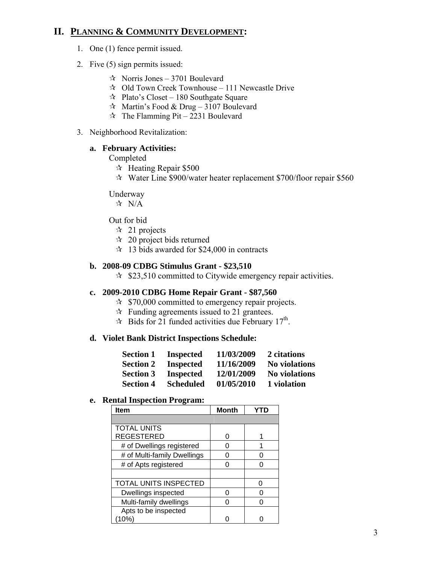### **II. PLANNING & COMMUNITY DEVELOPMENT:**

- 1. One (1) fence permit issued.
- 2. Five (5) sign permits issued:
	- $\approx$  Norris Jones 3701 Boulevard
	- $\approx$  Old Town Creek Townhouse 111 Newcastle Drive
	- $\approx$  Plato's Closet 180 Southgate Square
	- $\approx$  Martin's Food & Drug 3107 Boulevard
	- $\approx$  The Flamming Pit 2231 Boulevard
- 3. Neighborhood Revitalization:

#### **a. February Activities:**

#### Completed

- $\approx$  Heating Repair \$500
- Water Line \$900/water heater replacement \$700/floor repair \$560

#### Underway

 $\forall$  N/A

#### Out for bid

- $\approx$  21 projects
- $\approx$  20 project bids returned
- $\approx$  13 bids awarded for \$24,000 in contracts

#### **b. 2008-09 CDBG Stimulus Grant - \$23,510**

 $\approx$  \$23,510 committed to Citywide emergency repair activities.

#### **c. 2009-2010 CDBG Home Repair Grant - \$87,560**

- $\approx$  \$70,000 committed to emergency repair projects.
- $\mathcal{R}$  Funding agreements issued to 21 grantees.
- $\approx$  Bids for 21 funded activities due February 17<sup>th</sup>.

#### **d. Violet Bank District Inspections Schedule:**

| <b>Section 1</b> | <b>Inspected</b> | 11/03/2009 | 2 citations          |
|------------------|------------------|------------|----------------------|
| <b>Section 2</b> | <b>Inspected</b> | 11/16/2009 | <b>No violations</b> |
| <b>Section 3</b> | <b>Inspected</b> | 12/01/2009 | <b>No violations</b> |
| <b>Section 4</b> | <b>Scheduled</b> | 01/05/2010 | 1 violation          |

### **e. Rental Inspection Program:**

| Item                        | <b>Month</b> |  |
|-----------------------------|--------------|--|
|                             |              |  |
| <b>TOTAL UNITS</b>          |              |  |
| <b>REGESTERED</b>           | ი            |  |
| # of Dwellings registered   | ი            |  |
| # of Multi-family Dwellings | ი            |  |
| # of Apts registered        | Ω            |  |
|                             |              |  |
| TOTAL UNITS INSPECTED       |              |  |
| Dwellings inspected         | በ            |  |
| Multi-family dwellings      | N            |  |
| Apts to be inspected        |              |  |
| 10%)                        |              |  |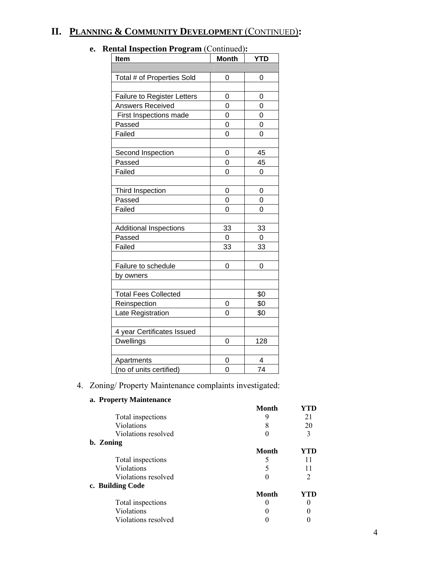### **II. PLANNING & COMMUNITY DEVELOPMENT** (CONTINUED)**:**

| <b>Item</b>                        | <b>Month</b>   | <b>YTD</b>     |
|------------------------------------|----------------|----------------|
|                                    |                |                |
| Total # of Properties Sold         | 0              | 0              |
|                                    |                |                |
| <b>Failure to Register Letters</b> | 0              | 0              |
| <b>Answers Received</b>            | 0              | 0              |
| First Inspections made             | 0              | 0              |
| Passed                             | $\overline{0}$ | $\overline{0}$ |
| Failed                             | 0              | 0              |
|                                    |                |                |
| Second Inspection                  | 0              | 45             |
| Passed                             | 0              | 45             |
| Failed                             | 0              | 0              |
|                                    |                |                |
| Third Inspection                   | 0              | 0              |
| Passed                             | 0              | 0              |
| Failed                             | $\overline{0}$ | 0              |
|                                    |                |                |
| <b>Additional Inspections</b>      | 33             | 33             |
| Passed                             | 0              | 0              |
| Failed                             | 33             | 33             |
|                                    |                |                |
| Failure to schedule                | 0              | 0              |
| by owners                          |                |                |
|                                    |                |                |
| <b>Total Fees Collected</b>        |                | \$0            |
| Reinspection                       | 0              | \$0            |
| Late Registration                  | 0              | \$0            |
|                                    |                |                |
| 4 year Certificates Issued         |                |                |
| <b>Dwellings</b>                   | 0              | 128            |
|                                    |                |                |
| Apartments                         | 0              | 4              |
| (no of units certified)            | 0              | 74             |

### **e. Rental Inspection Program** (Continued)**:**

### 4. Zoning/ Property Maintenance complaints investigated:

### **a. Property Maintenance**

| a. 110 percy maintenance |       |     |
|--------------------------|-------|-----|
|                          | Month | YTD |
| Total inspections        | 9     | 21  |
| Violations               | 8     | 20  |
| Violations resolved      |       |     |
| b. Zoning                |       |     |
|                          | Month | YTD |
| Total inspections        |       | 11  |
| Violations               | 5     | 11  |
| Violations resolved      |       | 2   |
| c. Building Code         |       |     |
|                          | Month | YTD |
| Total inspections        |       |     |
| Violations               |       |     |
| Violations resolved      |       |     |
|                          |       |     |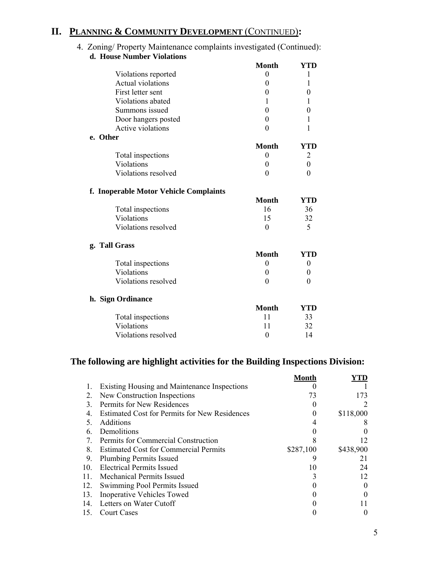### **II. PLANNING & COMMUNITY DEVELOPMENT** (CONTINUED)**:**

#### 4. Zoning/ Property Maintenance complaints investigated (Continued): **d. House Number Violations**

| <b>Month</b>   | YTD              |
|----------------|------------------|
| $\overline{0}$ | 1                |
| $\theta$       | 1                |
| $\theta$       | $\overline{0}$   |
| 1              | 1                |
| $\Omega$       | 0                |
| $\theta$       | 1                |
| $\overline{0}$ | 1                |
|                |                  |
| <b>Month</b>   | YTD              |
| $\theta$       | 2                |
| $\theta$       | $\boldsymbol{0}$ |
| $\theta$       | $\theta$         |
|                |                  |
| <b>Month</b>   | YTD              |
| 16             | 36               |
| 15             | 32               |
| $\theta$       | 5                |
|                |                  |
| <b>Month</b>   | YTD              |
| 0              | 0                |
| $\theta$       | $\theta$         |
| $\overline{0}$ | $\boldsymbol{0}$ |
|                |                  |
| <b>Month</b>   | YTD              |
| 11             | 33               |
| 11             | 32               |
| 0              | 14               |
|                |                  |

### **The following are highlight activities for the Building Inspections Division:**

|                 |                                                      | Month     |               |
|-----------------|------------------------------------------------------|-----------|---------------|
|                 | <b>Existing Housing and Maintenance Inspections</b>  |           |               |
| 2.              | New Construction Inspections                         | 73        | 173           |
| 3               | Permits for New Residences                           |           | $\mathcal{D}$ |
| 4.              | <b>Estimated Cost for Permits for New Residences</b> | 0         | \$118,000     |
|                 | <b>Additions</b>                                     | 4         |               |
| 6.              | Demolitions                                          |           |               |
| 7.              | Permits for Commercial Construction                  | 8         | 12            |
| 8.              | <b>Estimated Cost for Commercial Permits</b>         | \$287,100 | \$438,900     |
| 9.              | <b>Plumbing Permits Issued</b>                       | 9         | 21            |
| 10 <sub>l</sub> | <b>Electrical Permits Issued</b>                     | 10        | 24            |
| 11.             | <b>Mechanical Permits Issued</b>                     | 3         | 12            |
| 12.             | Swimming Pool Permits Issued                         |           | $\Omega$      |
| 13.             | <b>Inoperative Vehicles Towed</b>                    |           |               |
| 14.             | Letters on Water Cutoff                              |           |               |
| 15.             | <b>Court Cases</b>                                   |           | $\theta$      |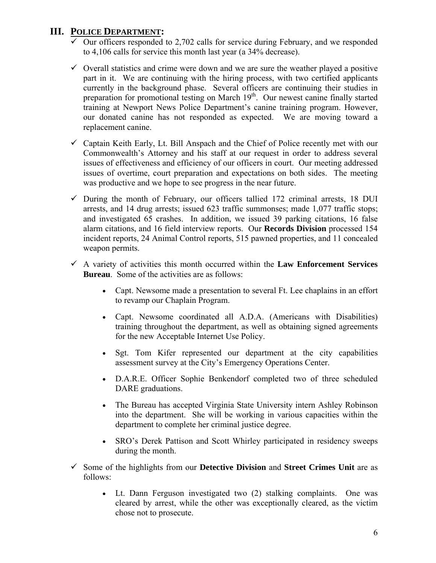### **III. POLICE DEPARTMENT:**

- $\overline{\smash[b]{\mathsf{0}}}$  Our officers responded to 2,702 calls for service during February, and we responded to 4,106 calls for service this month last year (a 34% decrease).
- $\checkmark$  Overall statistics and crime were down and we are sure the weather played a positive part in it. We are continuing with the hiring process, with two certified applicants currently in the background phase. Several officers are continuing their studies in preparation for promotional testing on March 19<sup>th</sup>. Our newest canine finally started training at Newport News Police Department's canine training program. However, our donated canine has not responded as expected. We are moving toward a replacement canine.
- $\checkmark$  Captain Keith Early, Lt. Bill Anspach and the Chief of Police recently met with our Commonwealth's Attorney and his staff at our request in order to address several issues of effectiveness and efficiency of our officers in court. Our meeting addressed issues of overtime, court preparation and expectations on both sides. The meeting was productive and we hope to see progress in the near future.
- $\checkmark$  During the month of February, our officers tallied 172 criminal arrests, 18 DUI arrests, and 14 drug arrests; issued 623 traffic summonses; made 1,077 traffic stops; and investigated 65 crashes. In addition, we issued 39 parking citations, 16 false alarm citations, and 16 field interview reports. Our **Records Division** processed 154 incident reports, 24 Animal Control reports, 515 pawned properties, and 11 concealed weapon permits.
- $\checkmark$  A variety of activities this month occurred within the **Law Enforcement Services Bureau**. Some of the activities are as follows:
	- Capt. Newsome made a presentation to several Ft. Lee chaplains in an effort to revamp our Chaplain Program.
	- Capt. Newsome coordinated all A.D.A. (Americans with Disabilities) training throughout the department, as well as obtaining signed agreements for the new Acceptable Internet Use Policy.
	- Sgt. Tom Kifer represented our department at the city capabilities assessment survey at the City's Emergency Operations Center.
	- D.A.R.E. Officer Sophie Benkendorf completed two of three scheduled DARE graduations.
	- The Bureau has accepted Virginia State University intern Ashley Robinson into the department. She will be working in various capacities within the department to complete her criminal justice degree.
	- SRO's Derek Pattison and Scott Whirley participated in residency sweeps during the month.
- 9 Some of the highlights from our **Detective Division** and **Street Crimes Unit** are as follows:
	- Lt. Dann Ferguson investigated two (2) stalking complaints. One was cleared by arrest, while the other was exceptionally cleared, as the victim chose not to prosecute.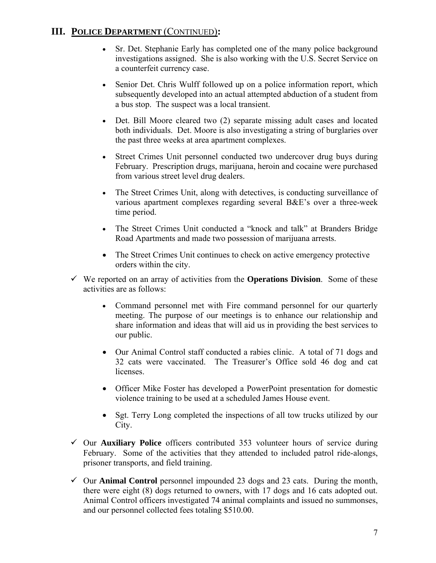### **III. POLICE DEPARTMENT** (CONTINUED)**:**

- Sr. Det. Stephanie Early has completed one of the many police background investigations assigned. She is also working with the U.S. Secret Service on a counterfeit currency case.
- Senior Det. Chris Wulff followed up on a police information report, which subsequently developed into an actual attempted abduction of a student from a bus stop. The suspect was a local transient.
- Det. Bill Moore cleared two (2) separate missing adult cases and located both individuals. Det. Moore is also investigating a string of burglaries over the past three weeks at area apartment complexes.
- Street Crimes Unit personnel conducted two undercover drug buys during February. Prescription drugs, marijuana, heroin and cocaine were purchased from various street level drug dealers.
- The Street Crimes Unit, along with detectives, is conducting surveillance of various apartment complexes regarding several B&E's over a three-week time period.
- The Street Crimes Unit conducted a "knock and talk" at Branders Bridge Road Apartments and made two possession of marijuana arrests.
- The Street Crimes Unit continues to check on active emergency protective orders within the city.
- $\checkmark$  We reported on an array of activities from the **Operations Division**. Some of these activities are as follows:
	- Command personnel met with Fire command personnel for our quarterly meeting. The purpose of our meetings is to enhance our relationship and share information and ideas that will aid us in providing the best services to our public.
	- Our Animal Control staff conducted a rabies clinic. A total of 71 dogs and 32 cats were vaccinated. The Treasurer's Office sold 46 dog and cat licenses.
	- Officer Mike Foster has developed a PowerPoint presentation for domestic violence training to be used at a scheduled James House event.
	- Sgt. Terry Long completed the inspections of all tow trucks utilized by our City.
- 9 Our **Auxiliary Police** officers contributed 353 volunteer hours of service during February. Some of the activities that they attended to included patrol ride-alongs, prisoner transports, and field training.
- $\checkmark$  Our **Animal Control** personnel impounded 23 dogs and 23 cats. During the month, there were eight (8) dogs returned to owners, with 17 dogs and 16 cats adopted out. Animal Control officers investigated 74 animal complaints and issued no summonses, and our personnel collected fees totaling \$510.00.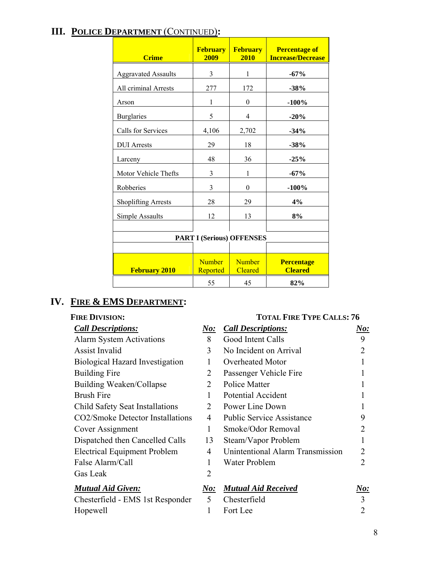## **III. POLICE DEPARTMENT** (CONTINUED)**:**

| <b>Crime</b>                     | <b>February</b><br>2009   | <b>February</b><br>2010         | <b>Percentage of</b><br><b>Increase/Decrease</b> |  |  |
|----------------------------------|---------------------------|---------------------------------|--------------------------------------------------|--|--|
| <b>Aggravated Assaults</b>       | 3                         | 1                               | $-67%$                                           |  |  |
| All criminal Arrests             | 277                       | 172                             | $-38%$                                           |  |  |
| Arson                            | 1                         | 0                               | $-100%$                                          |  |  |
| <b>Burglaries</b>                | 5                         | 4                               | $-20%$                                           |  |  |
| Calls for Services               | 4,106                     | 2,702                           | $-34%$                                           |  |  |
| <b>DUI</b> Arrests               | 29                        | 18                              | $-38%$                                           |  |  |
| Larceny                          | 48                        | 36                              | $-25%$                                           |  |  |
| Motor Vehicle Thefts             | 3                         | 1                               | $-67%$                                           |  |  |
| Robberies                        | 3                         | $\theta$                        | $-100\%$                                         |  |  |
| <b>Shoplifting Arrests</b>       | 28                        | 29                              | 4%                                               |  |  |
| Simple Assaults                  | 12                        | 13                              | 8%                                               |  |  |
|                                  |                           |                                 |                                                  |  |  |
| <b>PART I (Serious) OFFENSES</b> |                           |                                 |                                                  |  |  |
|                                  |                           |                                 |                                                  |  |  |
| <b>February 2010</b>             | <b>Number</b><br>Reported | <b>Number</b><br><b>Cleared</b> | <b>Percentage</b><br><b>Cleared</b>              |  |  |
|                                  | 55                        | 45                              | 82%                                              |  |  |

### **IV. FIRE & EMS DEPARTMENT:**

| <b>Call Descriptions:</b>              | $\boldsymbol{\it No:}$ | <b>Call Descriptions:</b>        | No:                    |
|----------------------------------------|------------------------|----------------------------------|------------------------|
| <b>Alarm System Activations</b>        | 8                      | Good Intent Calls                | 9                      |
| <b>Assist Invalid</b>                  | 3                      | No Incident on Arrival           |                        |
| <b>Biological Hazard Investigation</b> | 1                      | Overheated Motor                 |                        |
| <b>Building Fire</b>                   | $\overline{2}$         | Passenger Vehicle Fire           |                        |
| <b>Building Weaken/Collapse</b>        | $\overline{2}$         | <b>Police Matter</b>             |                        |
| <b>Brush Fire</b>                      | 1                      | <b>Potential Accident</b>        |                        |
| Child Safety Seat Installations        | $\overline{2}$         | Power Line Down                  |                        |
| CO2/Smoke Detector Installations       | 4                      | <b>Public Service Assistance</b> | 9                      |
| Cover Assignment                       | 1                      | Smoke/Odor Removal               |                        |
| Dispatched then Cancelled Calls        | 13                     | Steam/Vapor Problem              |                        |
| <b>Electrical Equipment Problem</b>    | 4                      | Unintentional Alarm Transmission | 2                      |
| False Alarm/Call                       | 1                      | Water Problem                    | 2                      |
| Gas Leak                               | $\overline{2}$         |                                  |                        |
| <b>Mutual Aid Given:</b>               | $\bm{No:}$             | <b>Mutual Aid Received</b>       | $\boldsymbol{\it No:}$ |
| Chesterfield - EMS 1st Responder       | 5                      | Chesterfield                     | 3                      |
| Hopewell                               | 1                      | Fort Lee                         | 2                      |

### FIRE DIVISION: TOTAL FIRE TYPE CALLS: 76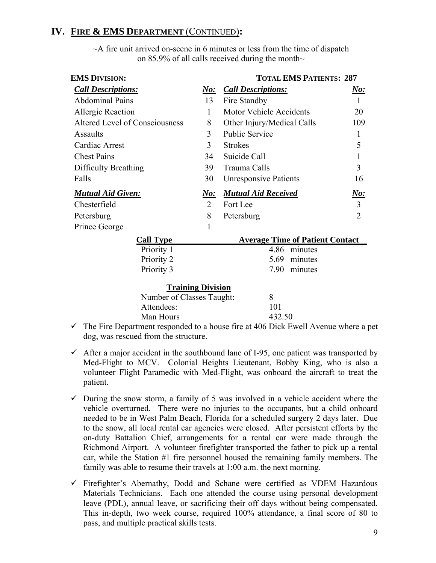### **IV. FIRE & EMS DEPARTMENT** (CONTINUED)**:**

| <b>EMS DIVISION:</b>           | <b>TOTAL EMS PATIENTS: 287</b> |                                        |                             |
|--------------------------------|--------------------------------|----------------------------------------|-----------------------------|
| <b>Call Descriptions:</b>      | $N$ o:                         | <b>Call Descriptions:</b>              | N o:                        |
| <b>Abdominal Pains</b>         | 13                             | Fire Standby                           | $\mathbf{1}$                |
| Allergic Reaction              | $\mathbf{1}$                   | <b>Motor Vehicle Accidents</b>         | 20                          |
| Altered Level of Consciousness | 8                              | Other Injury/Medical Calls             | 109                         |
| Assaults                       | 3                              | <b>Public Service</b>                  | 1                           |
| Cardiac Arrest                 | 3                              | <b>Strokes</b>                         | 5                           |
| <b>Chest Pains</b>             | 34                             | Suicide Call                           | 1                           |
| Difficulty Breathing           | 39                             | Trauma Calls                           | 3                           |
| Falls                          | 30                             | <b>Unresponsive Patients</b>           | 16                          |
| <b>Mutual Aid Given:</b>       | $N$ o:                         | <b>Mutual Aid Received</b>             | $\underline{\textit{No}}$ : |
| Chesterfield                   | 2                              | Fort Lee                               | $\overline{3}$              |
| Petersburg                     | 8                              | Petersburg                             | $\overline{2}$              |
| Prince George                  | 1                              |                                        |                             |
| <b>Call Type</b>               |                                | <b>Average Time of Patient Contact</b> |                             |
| Priority 1                     |                                | 4.86<br>minutes                        |                             |
| Priority 2                     |                                | 5.69<br>minutes                        |                             |
| Priority 3                     |                                | 7.90<br>minutes                        |                             |
| <b>Training Division</b>       |                                |                                        |                             |
| Number of Classes Taught:      |                                | 8                                      |                             |
| Attendees:                     |                                | 101                                    |                             |

 $\sim$ A fire unit arrived on-scene in 6 minutes or less from the time of dispatch on 85.9% of all calls received during the month $\sim$ 

 $\checkmark$  The Fire Department responded to a house fire at 406 Dick Ewell Avenue where a pet dog, was rescued from the structure.

Man Hours 432.50

- $\checkmark$  After a major accident in the southbound lane of I-95, one patient was transported by Med-Flight to MCV. Colonial Heights Lieutenant, Bobby King, who is also a volunteer Flight Paramedic with Med-Flight, was onboard the aircraft to treat the patient.
- $\checkmark$  During the snow storm, a family of 5 was involved in a vehicle accident where the vehicle overturned. There were no injuries to the occupants, but a child onboard needed to be in West Palm Beach, Florida for a scheduled surgery 2 days later. Due to the snow, all local rental car agencies were closed. After persistent efforts by the on-duty Battalion Chief, arrangements for a rental car were made through the Richmond Airport. A volunteer firefighter transported the father to pick up a rental car, while the Station #1 fire personnel housed the remaining family members. The family was able to resume their travels at 1:00 a.m. the next morning.
- $\checkmark$  Firefighter's Abernathy, Dodd and Schane were certified as VDEM Hazardous Materials Technicians. Each one attended the course using personal development leave (PDL), annual leave, or sacrificing their off days without being compensated. This in-depth, two week course, required 100% attendance, a final score of 80 to pass, and multiple practical skills tests.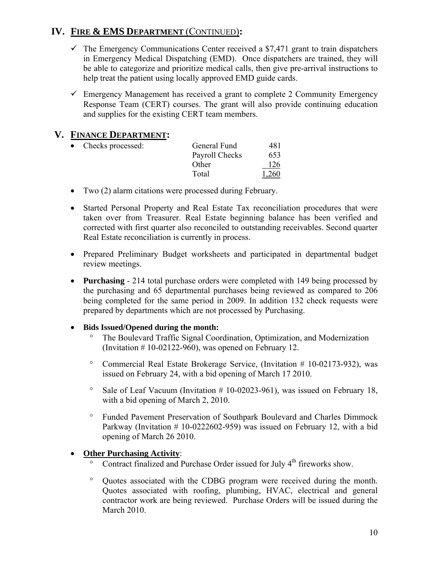### **IV. FIRE & EMS DEPARTMENT** (CONTINUED)**:**

- $\checkmark$  The Emergency Communications Center received a \$7,471 grant to train dispatchers in Emergency Medical Dispatching (EMD). Once dispatchers are trained, they will be able to categorize and prioritize medical calls, then give pre-arrival instructions to help treat the patient using locally approved EMD guide cards.
- $\checkmark$  Emergency Management has received a grant to complete 2 Community Emergency Response Team (CERT) courses. The grant will also provide continuing education and supplies for the existing CERT team members.

### **V. FINANCE DEPARTMENT:**

| Checks processed: | General Fund   | 481   |
|-------------------|----------------|-------|
|                   | Payroll Checks | 653   |
|                   | Other          | 126   |
|                   | Total          | 1,260 |

- Two (2) alarm citations were processed during February.
- Started Personal Property and Real Estate Tax reconciliation procedures that were taken over from Treasurer. Real Estate beginning balance has been verified and corrected with first quarter also reconciled to outstanding receivables. Second quarter Real Estate reconciliation is currently in process.
- Prepared Preliminary Budget worksheets and participated in departmental budget review meetings.
- **Purchasing** 214 total purchase orders were completed with 149 being processed by the purchasing and 65 departmental purchases being reviewed as compared to 206 being completed for the same period in 2009. In addition 132 check requests were prepared by departments which are not processed by Purchasing.

### • **Bids Issued/Opened during the month:**

- ° The Boulevard Traffic Signal Coordination, Optimization, and Modernization (Invitation  $# 10-02122-960$ ), was opened on February 12.
- ° Commercial Real Estate Brokerage Service, (Invitation # 10-02173-932), was issued on February 24, with a bid opening of March 17 2010.
- ° Sale of Leaf Vacuum (Invitation # 10-02023-961), was issued on February 18, with a bid opening of March 2, 2010.
- ° Funded Pavement Preservation of Southpark Boulevard and Charles Dimmock Parkway (Invitation  $# 10-0222602-959$ ) was issued on February 12, with a bid opening of March 26 2010.

### • **Other Purchasing Activity**:

- $\overline{\text{S}}$  Contract finalized and Purchase Order issued for July 4<sup>th</sup> fireworks show.
- ° Quotes associated with the CDBG program were received during the month. Quotes associated with roofing, plumbing, HVAC, electrical and general contractor work are being reviewed. Purchase Orders will be issued during the March 2010.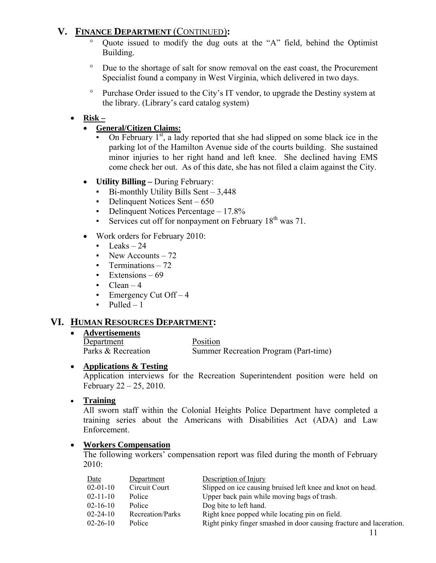### **V. FINANCE DEPARTMENT** (CONTINUED)**:**

- Quote issued to modify the dug outs at the "A" field, behind the Optimist Building.
- ° Due to the shortage of salt for snow removal on the east coast, the Procurement Specialist found a company in West Virginia, which delivered in two days.
- ° Purchase Order issued to the City's IT vendor, to upgrade the Destiny system at the library. (Library's card catalog system)

### • **Risk –**

- **General/Citizen Claims:**
	- On February  $1<sup>st</sup>$ , a lady reported that she had slipped on some black ice in the parking lot of the Hamilton Avenue side of the courts building. She sustained minor injuries to her right hand and left knee. She declined having EMS come check her out. As of this date, she has not filed a claim against the City.
- **Utility Billing** During February:
	- $\blacksquare$  Bi-monthly Utility Bills Sent 3,448
	- $\blacksquare$  Delinquent Notices Sent 650
	- Delinquent Notices Percentage 17.8%
	- **•** Services cut off for nonpayment on February  $18<sup>th</sup>$  was 71.
- Work orders for February 2010:
	- $\blacksquare$  Leaks 24
	- New Accounts  $-72$
	- **•** Terminations 72
	- $\blacksquare$  Extensions 69
	- $\blacksquare$  Clean 4
	- Emergency Cut  $Off-4$
	- $\nu$  Pulled 1

### **VI. HUMAN RESOURCES DEPARTMENT:**

• **Advertisements**

Department Position Parks & Recreation Summer Recreation Program (Part-time)

### • **Applications & Testing**

 Application interviews for the Recreation Superintendent position were held on February 22 – 25, 2010.

### • **Training**

 All sworn staff within the Colonial Heights Police Department have completed a training series about the Americans with Disabilities Act (ADA) and Law Enforcement.

### • **Workers Compensation**

The following workers' compensation report was filed during the month of February 2010:

| Date           | Department       | Description of Injury                                               |
|----------------|------------------|---------------------------------------------------------------------|
| $02 - 01 - 10$ | Circuit Court    | Slipped on ice causing bruised left knee and knot on head.          |
| $02 - 11 - 10$ | Police           | Upper back pain while moving bags of trash.                         |
| $02 - 16 - 10$ | Police           | Dog bite to left hand.                                              |
| $02 - 24 - 10$ | Recreation/Parks | Right knee popped while locating pin on field.                      |
| $02 - 26 - 10$ | Police           | Right pinky finger smashed in door causing fracture and laceration. |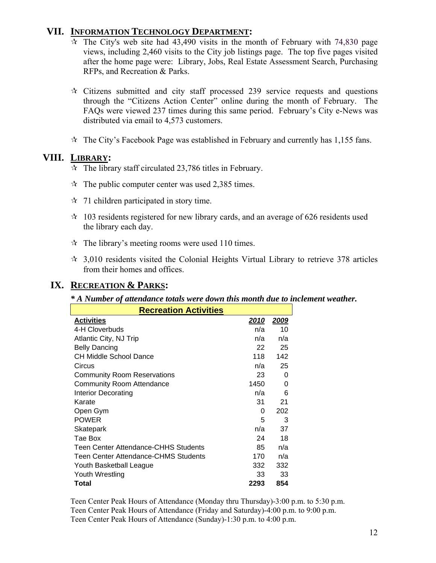### **VII. INFORMATION TECHNOLOGY DEPARTMENT:**

- $\overline{x}$  The City's web site had 43,490 visits in the month of February with 74,830 page views, including 2,460 visits to the City job listings page. The top five pages visited after the home page were: Library, Jobs, Real Estate Assessment Search, Purchasing RFPs, and Recreation & Parks.
- $\star$  Citizens submitted and city staff processed 239 service requests and questions through the "Citizens Action Center" online during the month of February. The FAQs were viewed 237 times during this same period. February's City e-News was distributed via email to 4,573 customers.
- $\hat{x}$  The City's Facebook Page was established in February and currently has 1,155 fans.

### **VIII. LIBRARY:**

- $\approx$  The library staff circulated 23,786 titles in February.
- $\approx$  The public computer center was used 2,385 times.
- $\approx$  71 children participated in story time.
- $\approx$  103 residents registered for new library cards, and an average of 626 residents used the library each day.
- $\hat{x}$  The library's meeting rooms were used 110 times.
- $\approx$  3,010 residents visited the Colonial Heights Virtual Library to retrieve 378 articles from their homes and offices.

### **IX. RECREATION & PARKS:**

#### *\* A Number of attendance totals were down this month due to inclement weather.*

| <b>Recreation Activities</b>         |               |              |  |  |
|--------------------------------------|---------------|--------------|--|--|
| <b>Activities</b>                    | <u> 2010 </u> | <u> 2009</u> |  |  |
| 4-H Cloverbuds                       | n/a           | 10           |  |  |
| Atlantic City, NJ Trip               | n/a           | n/a          |  |  |
| <b>Belly Dancing</b>                 | 22            | 25           |  |  |
| CH Middle School Dance               | 118           | 142          |  |  |
| Circus                               | n/a           | 25           |  |  |
| <b>Community Room Reservations</b>   | 23            | $\Omega$     |  |  |
| <b>Community Room Attendance</b>     | 1450          | 0            |  |  |
| <b>Interior Decorating</b>           | n/a           | 6            |  |  |
| Karate                               | 31            | 21           |  |  |
| Open Gym                             | 0             | 202          |  |  |
| <b>POWER</b>                         | 5             | 3            |  |  |
| Skatepark                            | n/a           | 37           |  |  |
| Tae Box                              | 24            | 18           |  |  |
| Teen Center Attendance-CHHS Students | 85            | n/a          |  |  |
| Teen Center Attendance-CHMS Students | 170           | n/a          |  |  |
| Youth Basketball League              | 332           | 332          |  |  |
| Youth Wrestling                      | 33            | 33           |  |  |
| Total                                | 2293          | 854          |  |  |

Teen Center Peak Hours of Attendance (Monday thru Thursday)-3:00 p.m. to 5:30 p.m. Teen Center Peak Hours of Attendance (Friday and Saturday)-4:00 p.m. to 9:00 p.m. Teen Center Peak Hours of Attendance (Sunday)-1:30 p.m. to 4:00 p.m.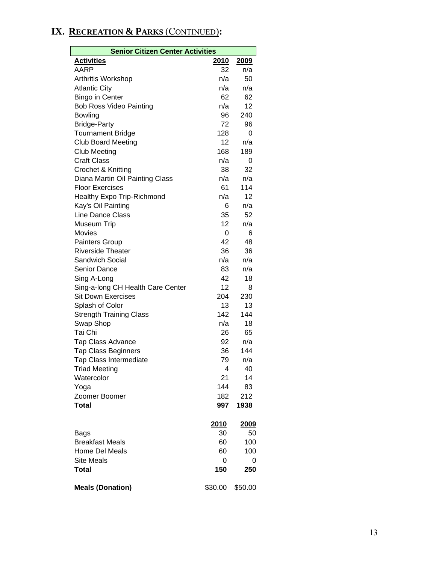## **IX. RECREATION & PARKS** (CONTINUED)**:**

| <b>Senior Citizen Center Activities</b> |             |              |  |  |
|-----------------------------------------|-------------|--------------|--|--|
| <b>Activities</b>                       | 2010        | 2009         |  |  |
| AARP                                    | 32          | n/a          |  |  |
| Arthritis Workshop                      | n/a         | 50           |  |  |
| <b>Atlantic City</b>                    | n/a         | n/a          |  |  |
| <b>Bingo in Center</b>                  | 62          | 62           |  |  |
| <b>Bob Ross Video Painting</b>          | n/a         | 12           |  |  |
| <b>Bowling</b>                          | 96          | 240          |  |  |
| <b>Bridge-Party</b>                     | 72          | 96           |  |  |
| <b>Tournament Bridge</b>                | 128         | 0            |  |  |
| <b>Club Board Meeting</b>               | 12          | n/a          |  |  |
| <b>Club Meeting</b>                     | 168         | 189          |  |  |
| <b>Craft Class</b>                      | n/a         | 0            |  |  |
| Crochet & Knitting                      | 38          | 32           |  |  |
| Diana Martin Oil Painting Class         | n/a         | n/a          |  |  |
| <b>Floor Exercises</b>                  | 61          | 114          |  |  |
| <b>Healthy Expo Trip-Richmond</b>       | n/a         | 12           |  |  |
| Kay's Oil Painting                      | 6           | n/a          |  |  |
| Line Dance Class                        | 35          | 52           |  |  |
| <b>Museum Trip</b>                      | 12          | n/a          |  |  |
| <b>Movies</b>                           | 0           | 6            |  |  |
| Painters Group                          | 42          | 48           |  |  |
| <b>Riverside Theater</b>                | 36          | 36           |  |  |
| <b>Sandwich Social</b>                  | n/a         | n/a          |  |  |
| <b>Senior Dance</b>                     | 83          | n/a          |  |  |
| Sing A-Long                             | 42          | 18           |  |  |
| Sing-a-long CH Health Care Center       | 12          | 8            |  |  |
| <b>Sit Down Exercises</b>               | 204         | 230          |  |  |
| Splash of Color                         | 13          | 13           |  |  |
| <b>Strength Training Class</b>          | 142         | 144          |  |  |
| Swap Shop                               | n/a         | 18           |  |  |
| Tai Chi                                 | 26          | 65           |  |  |
| Tap Class Advance                       | 92          | n/a          |  |  |
| <b>Tap Class Beginners</b>              | 36          | 144          |  |  |
| <b>Tap Class Intermediate</b>           | 79          | n/a          |  |  |
| <b>Triad Meeting</b>                    | 4           | 40           |  |  |
| Watercolor                              | 21          | 14           |  |  |
| Yoga                                    | 144         | 83           |  |  |
| Zoomer Boomer                           | 182         | 212          |  |  |
| <b>Total</b>                            | 997         | 1938         |  |  |
|                                         | <u>2010</u> | <u> 2009</u> |  |  |
| Bags                                    | 30          | 50           |  |  |
| <b>Breakfast Meals</b>                  | 60          | 100          |  |  |
| <b>Home Del Meals</b>                   | 60          | 100          |  |  |
| <b>Site Meals</b>                       | 0           | 0            |  |  |
| <b>Total</b>                            | 150         | 250          |  |  |
| <b>Meals (Donation)</b>                 | \$30.00     | \$50.00      |  |  |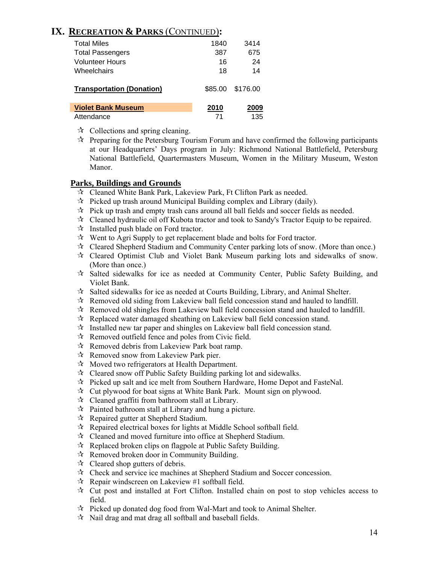### **IX. RECREATION & PARKS** (CONTINUED)**:**

| <b>Total Miles</b>               | 1840 | 3414             |
|----------------------------------|------|------------------|
| <b>Total Passengers</b>          | 387  | 675              |
| Volunteer Hours                  | 16   | 24               |
| Wheelchairs                      | 18   | 14               |
| <b>Transportation (Donation)</b> |      | \$85.00 \$176.00 |
| <b>Violet Bank Museum</b>        | 2010 | 2009             |
| Attendance                       |      | 135              |

- $\forall$  Collections and spring cleaning.
- $\vec{x}$  Preparing for the Petersburg Tourism Forum and have confirmed the following participants at our Headquarters' Days program in July: Richmond National Battlefield, Petersburg National Battlefield, Quartermasters Museum, Women in the Military Museum, Weston Manor.

#### **Parks, Buildings and Grounds**

- Cleaned White Bank Park, Lakeview Park, Ft Clifton Park as needed.
- $\hat{x}$  Picked up trash around Municipal Building complex and Library (daily).
- $\mathcal{R}$  Pick up trash and empty trash cans around all ball fields and soccer fields as needed.
- $\mathcal{R}$  Cleaned hydraulic oil off Kubota tractor and took to Sandy's Tractor Equip to be repaired.
- $\mathcal{R}$  Installed push blade on Ford tractor.
- $\mathcal{R}$  Went to Agri Supply to get replacement blade and bolts for Ford tractor.
- Cleared Shepherd Stadium and Community Center parking lots of snow. (More than once.)
- $\mathcal{R}$  Cleared Optimist Club and Violet Bank Museum parking lots and sidewalks of snow. (More than once.)
- Salted sidewalks for ice as needed at Community Center, Public Safety Building, and Violet Bank.
- $\mathbf{\hat{x}}$  Salted sidewalks for ice as needed at Courts Building, Library, and Animal Shelter.
- $\mathcal{R}$  Removed old siding from Lakeview ball field concession stand and hauled to landfill.
- $\mathcal{R}$  Removed old shingles from Lakeview ball field concession stand and hauled to landfill.
- $\mathcal{R}$  Replaced water damaged sheathing on Lakeview ball field concession stand.
- $\mathcal{R}$  Installed new tar paper and shingles on Lakeview ball field concession stand.
- $\mathcal{R}$  Removed outfield fence and poles from Civic field.
- $\mathcal{R}$  Removed debris from Lakeview Park boat ramp.
- $\mathcal{R}$  Removed snow from Lakeview Park pier.
- $\mathcal{R}$  Moved two refrigerators at Health Department.
- $\mathcal{R}$  Cleared snow off Public Safety Building parking lot and sidewalks.
- $\hat{\mathbf{x}}$  Picked up salt and ice melt from Southern Hardware, Home Depot and FasteNal.
- $\hat{x}$  Cut plywood for boat signs at White Bank Park. Mount sign on plywood.
- $\mathcal{R}$  Cleaned graffiti from bathroom stall at Library.
- $\mathcal{R}$  Painted bathroom stall at Library and hung a picture.
- Repaired gutter at Shepherd Stadium.
- $\mathcal{R}$  Repaired electrical boxes for lights at Middle School softball field.
- Cleaned and moved furniture into office at Shepherd Stadium.
- $\mathcal{R}$  Replaced broken clips on flagpole at Public Safety Building.
- $\mathcal{R}$  Removed broken door in Community Building.
- $\mathcal{R}$  Cleared shop gutters of debris.
- Check and service ice machines at Shepherd Stadium and Soccer concession.
- $\mathcal{R}$  Repair windscreen on Lakeview #1 softball field.
- $\mathcal{R}$  Cut post and installed at Fort Clifton. Installed chain on post to stop vehicles access to field.
- $\mathcal{R}$  Picked up donated dog food from Wal-Mart and took to Animal Shelter.
- $\mathcal{R}$  Nail drag and mat drag all softball and baseball fields.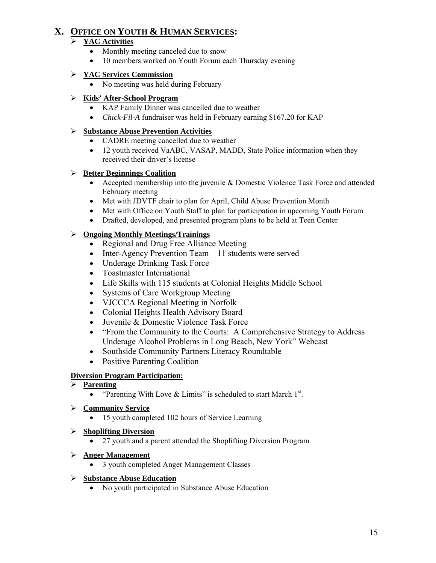### **X. OFFICE ON YOUTH & HUMAN SERVICES:**

### ¾ **YAC Activities**

- Monthly meeting canceled due to snow
- 10 members worked on Youth Forum each Thursday evening

#### ¾ **YAC Services Commission**

• No meeting was held during February

#### ¾ **Kids' After-School Program**

- KAP Family Dinner was cancelled due to weather
- *Chick-Fil-A* fundraiser was held in February earning \$167.20 for KAP

### ¾ **Substance Abuse Prevention Activities**

- CADRE meeting cancelled due to weather
- 12 youth received VaABC, VASAP, MADD, State Police information when they received their driver's license

#### ¾ **Better Beginnings Coalition**

- Accepted membership into the juvenile & Domestic Violence Task Force and attended February meeting
- Met with JDVTF chair to plan for April, Child Abuse Prevention Month
- Met with Office on Youth Staff to plan for participation in upcoming Youth Forum
- Drafted, developed, and presented program plans to be held at Teen Center

### ¾ **Ongoing Monthly Meetings/Trainings**

- Regional and Drug Free Alliance Meeting
- Inter-Agency Prevention Team 11 students were served
- Underage Drinking Task Force
- Toastmaster International
- Life Skills with 115 students at Colonial Heights Middle School
- Systems of Care Workgroup Meeting
- VJCCCA Regional Meeting in Norfolk
- Colonial Heights Health Advisory Board
- Juvenile & Domestic Violence Task Force
- "From the Community to the Courts: A Comprehensive Strategy to Address Underage Alcohol Problems in Long Beach, New York" Webcast
- Southside Community Partners Literacy Roundtable
- Positive Parenting Coalition

### **Diversion Program Participation:**

#### ¾ **Parenting**

• "Parenting With Love & Limits" is scheduled to start March  $1<sup>st</sup>$ .

#### ¾ **Community Service**

• 15 youth completed 102 hours of Service Learning

#### ¾ **Shoplifting Diversion**

• 27 youth and a parent attended the Shoplifting Diversion Program

#### ¾ **Anger Management**

• 3 youth completed Anger Management Classes

#### ¾ **Substance Abuse Education**

• No youth participated in Substance Abuse Education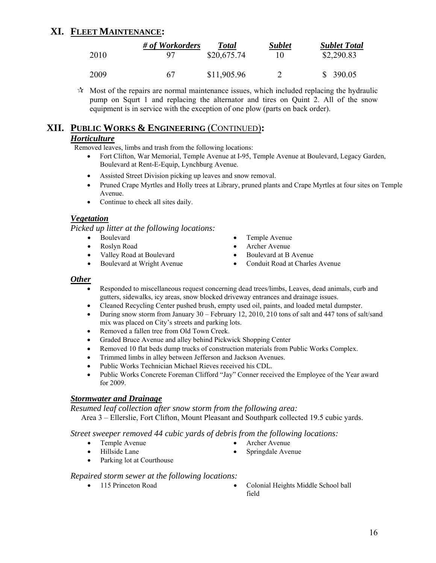### **XI. FLEET MAINTENANCE:**

|      | # of Workorders | Total       | <b>Sublet</b> | <b>Sublet Total</b> |
|------|-----------------|-------------|---------------|---------------------|
| 2010 | 97              | \$20,675.74 | 10            | \$2,290.83          |
| 2009 | 67              | \$11,905.96 |               | \$390.05            |

 $\mathcal{A}$  Most of the repairs are normal maintenance issues, which included replacing the hydraulic pump on Squrt 1 and replacing the alternator and tires on Quint 2. All of the snow equipment is in service with the exception of one plow (parts on back order).

### **XII. PUBLIC WORKS & ENGINEERING** (CONTINUED)**:**

#### *Horticulture*

Removed leaves, limbs and trash from the following locations:

- Fort Clifton, War Memorial, Temple Avenue at I-95, Temple Avenue at Boulevard, Legacy Garden, Boulevard at Rent-E-Equip, Lynchburg Avenue.
- Assisted Street Division picking up leaves and snow removal.
- Pruned Crape Myrtles and Holly trees at Library, pruned plants and Crape Myrtles at four sites on Temple Avenue.
- Continue to check all sites daily.

#### *Vegetation*

*Picked up litter at the following locations:* 

- Boulevard Temple Avenue
- 
- 
- 
- 
- Roslyn Road Archer Avenue
	- Valley Road at Boulevard Boulevard Boulevard at B Avenue
- Boulevard at Wright Avenue Conduit Road at Charles Avenue

#### *Other*

- Responded to miscellaneous request concerning dead trees/limbs, Leaves, dead animals, curb and gutters, sidewalks, icy areas, snow blocked driveway entrances and drainage issues.
- Cleaned Recycling Center pushed brush, empty used oil, paints, and loaded metal dumpster.
- During snow storm from January  $30 \text{February } 12, 2010, 210$  tons of salt and  $447$  tons of salt/sand mix was placed on City's streets and parking lots.
- Removed a fallen tree from Old Town Creek.
- Graded Bruce Avenue and alley behind Pickwick Shopping Center
- Removed 10 flat beds dump trucks of construction materials from Public Works Complex.
- Trimmed limbs in alley between Jefferson and Jackson Avenues.
- Public Works Technician Michael Rieves received his CDL.
- Public Works Concrete Foreman Clifford "Jay" Conner received the Employee of the Year award for 2009.

#### *Stormwater and Drainage*

*Resumed leaf collection after snow storm from the following area:* 

Area 3 – Ellerslie, Fort Clifton, Mount Pleasant and Southpark collected 19.5 cubic yards.

*Street sweeper removed 44 cubic yards of debris from the following locations:* 

- Temple Avenue Archer Avenue
- -
	- Hillside Lane Springdale Avenue
- 
- 
- 
- Parking lot at Courthouse

#### *Repaired storm sewer at the following locations:*

- 
- 115 Princeton Road Colonial Heights Middle School ball field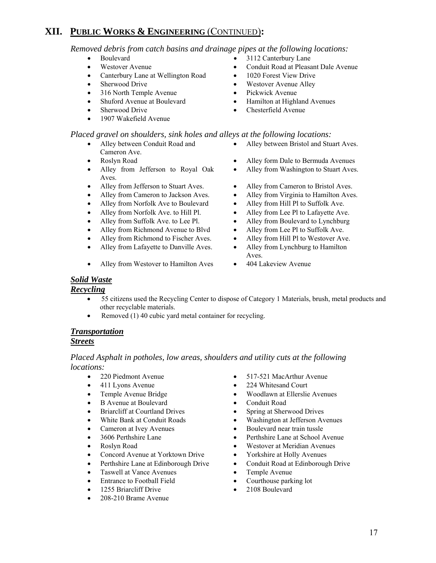### **XII. PUBLIC WORKS & ENGINEERING** (CONTINUED)**:**

*Removed debris from catch basins and drainage pipes at the following locations:* 

- 
- 
- Canterbury Lane at Wellington Road 1020 Forest View Drive
- 
- 316 North Temple Avenue Pickwick Avenue
- 
- 
- 1907 Wakefield Avenue

#### *Placed gravel on shoulders, sink holes and alleys at the following locations:*

- Alley between Conduit Road and Cameron Ave.
- 
- Alley from Jefferson to Royal Oak Aves.
- Alley from Jefferson to Stuart Aves. Alley from Cameron to Bristol Aves.
- 
- Alley from Norfolk Ave to Boulevard Alley from Hill Pl to Suffolk Ave.
- 
- 
- Alley from Richmond Avenue to Blvd Alley from Lee Pl to Suffolk Ave.
- Alley from Richmond to Fischer Aves. Alley from Hill Pl to Westover Ave.
- Alley from Lafayette to Danville Aves. Alley from Lynchburg to Hamilton
- Alley from Westover to Hamilton Aves 404 Lakeview Avenue
- Boulevard 3112 Canterbury Lane
- Westover Avenue Conduit Road at Pleasant Dale Avenue
	-
- Sherwood Drive Westover Avenue Alley
	-
- Shuford Avenue at Boulevard Hamilton at Highland Avenues
- Sherwood Drive Chesterfield Avenue
	- Alley between Bristol and Stuart Aves.
- Roslyn Road Alley form Dale to Bermuda Avenues
	- Alley from Washington to Stuart Aves.
	-
	- Alley from Cameron to Jackson Aves. Alley from Virginia to Hamilton Aves.
		-
- Alley from Norfolk Ave. to Hill Pl. Alley from Lee Pl to Lafayette Ave.
- Alley from Suffolk Ave. to Lee Pl. Alley from Boulevard to Lynchburg
	-
	-
	- Aves.
	-

#### *Solid Waste*

#### *Recycling*

- 55 citizens used the Recycling Center to dispose of Category 1 Materials, brush, metal products and other recyclable materials.
- Removed (1) 40 cubic yard metal container for recycling.

### *Transportation*

#### *Streets*

*Placed Asphalt in potholes, low areas, shoulders and utility cuts at the following locations:* 

- 
- 
- 
- B Avenue at Boulevard Conduit Road
- Briarcliff at Courtland Drives Spring at Sherwood Drives
- 
- 
- 
- 
- Concord Avenue at Yorktown Drive Yorkshire at Holly Avenues
- Perthshire Lane at Edinborough Drive Conduit Road at Edinborough Drive
- Taswell at Vance Avenues Temple Avenue
- 
- 
- 208-210 Brame Avenue
- 220 Piedmont Avenue 517-521 MacArthur Avenue
- 411 Lyons Avenue 224 Whitesand Court
- Temple Avenue Bridge Woodlawn at Ellerslie Avenues
	-
	-
- White Bank at Conduit Roads Washington at Jefferson Avenues
- Cameron at Ivey Avenues Boulevard near train tussle
- 3606 Perthshire Lane Perthshire Lane at School Avenue
- Roslyn Road Westover at Meridian Avenues
	-
	-
	-
- Entrance to Football Field Courthouse parking lot
	- 1255 Briarcliff Drive 2108 Boulevard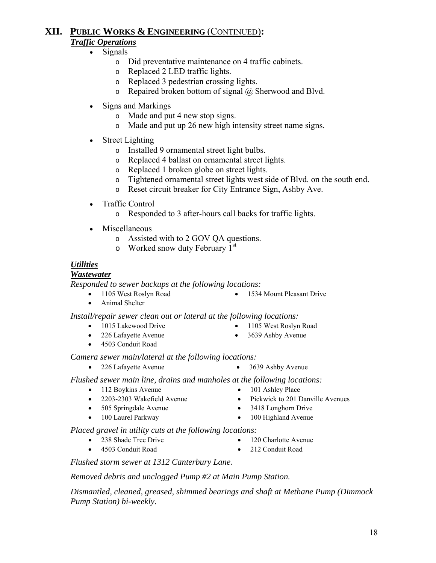### **XII. PUBLIC WORKS & ENGINEERING** (CONTINUED)**:** *Traffic Operations*

### • Signals

- o Did preventative maintenance on 4 traffic cabinets.
- o Replaced 2 LED traffic lights.
- o Replaced 3 pedestrian crossing lights.
- o Repaired broken bottom of signal @ Sherwood and Blvd.
- Signs and Markings
	- o Made and put 4 new stop signs.
	- o Made and put up 26 new high intensity street name signs.
- Street Lighting
	- o Installed 9 ornamental street light bulbs.
	- o Replaced 4 ballast on ornamental street lights.
	- o Replaced 1 broken globe on street lights.
	- o Tightened ornamental street lights west side of Blvd. on the south end.
	- o Reset circuit breaker for City Entrance Sign, Ashby Ave.
- Traffic Control
	- o Responded to 3 after-hours call backs for traffic lights.
- Miscellaneous
	- o Assisted with to 2 GOV QA questions.
	- $\circ$  Worked snow duty February 1<sup>st</sup>

### *Utilities*

### *Wastewater*

*Responded to sewer backups at the following locations:*

- 
- 1105 West Roslyn Road 1534 Mount Pleasant Drive
- Animal Shelter

#### *Install/repair sewer clean out or lateral at the following locations:*

- 1015 Lakewood Drive 1105 West Roslyn Road
	-
	-
- 4503 Conduit Road
- 226 Lafayette Avenue 3639 Ashby Avenue

*Camera sewer main/lateral at the following locations:* 

- 226 Lafayette Avenue 3639 Ashby Avenue
- *Flushed sewer main line, drains and manholes at the following locations:*
	- 112 Boykins Avenue 101 Ashley Place
	-
	- 505 Springdale Avenue 3418 Longhorn Drive
	- 100 Laurel Parkway 100 Highland Avenue
- *Placed gravel in utility cuts at the following locations:*
	- 238 Shade Tree Drive 120 Charlotte Avenue
		-
	- 4503 Conduit Road 212 Conduit Road
- 

 *Flushed storm sewer at 1312 Canterbury Lane.* 

### *Removed debris and unclogged Pump #2 at Main Pump Station.*

 *Dismantled, cleaned, greased, shimmed bearings and shaft at Methane Pump (Dimmock Pump Station) bi-weekly.* 

- -
- 2203-2303 Wakefield Avenue Pickwick to 201 Danville Avenues
	-
	-
	-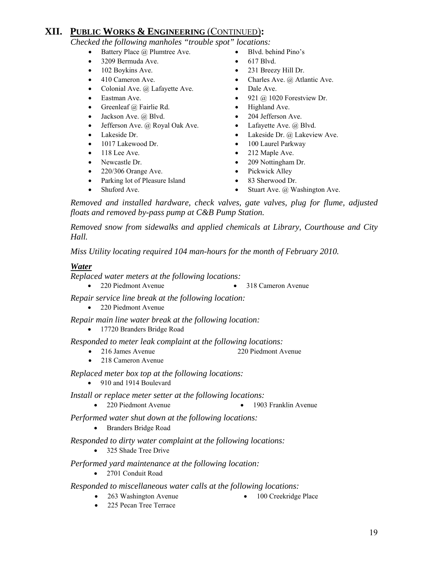### **XII. PUBLIC WORKS & ENGINEERING** (CONTINUED)**:**

 *Checked the following manholes "trouble spot" locations:* 

- Battery Place @ Plumtree Ave. Blvd. behind Pino's
- 3209 Bermuda Ave. 617 Blvd.
- 102 Boykins Ave. 231 Breezy Hill Dr.
- 
- Colonial Ave. @ Lafayette Ave. Dale Ave.
- 
- Greenleaf @ Fairlie Rd. Highland Ave.
- 
- Jefferson Ave. @ Royal Oak Ave. Lafayette Ave. @ Blvd.
- 
- 1017 Lakewood Dr. 100 Laurel Parkway
- 
- 
- 220/306 Orange Ave. Pickwick Alley
- Parking lot of Pleasure Island 83 Sherwood Dr.
- 
- 
- 
- 410 Cameron Ave. Charles Ave. @ Atlantic Ave.
	-
- Eastman Ave. 921 @ 1020 Forestview Dr.
	-
- Jackson Ave. @ Blvd. 204 Jefferson Ave.
	-
- Lakeside Dr. Lakeside Dr. @ Lakeside Dr. @ Lakeview Ave.
	-
- 118 Lee Ave. 212 Maple Ave.
- Newcastle Dr. 209 Nottingham Dr.
	-
	-
- Shuford Ave. Stuart Ave. @ Washington Ave.

 *Removed and installed hardware, check valves, gate valves, plug for flume, adjusted floats and removed by-pass pump at C&B Pump Station.* 

 *Removed snow from sidewalks and applied chemicals at Library, Courthouse and City Hall.* 

*Miss Utility locating required 104 man-hours for the month of February 2010.*

#### *Water*

*Replaced water meters at the following locations:* 

• 220 Piedmont Avenue • 318 Cameron Avenue

 *Repair service line break at the following location:* 

• 220 Piedmont Avenue

 *Repair main line water break at the following location:* 

• 17720 Branders Bridge Road

 *Responded to meter leak complaint at the following locations:* 

- 216 James Avenue 220 Piedmont Avenue
- 218 Cameron Avenue

 *Replaced meter box top at the following locations:* 

• 910 and 1914 Boulevard

*Install or replace meter setter at the following locations:*

• 220 Piedmont Avenue • 1903 Franklin Avenue

 *Performed water shut down at the following locations:* 

• Branders Bridge Road

 *Responded to dirty water complaint at the following locations:* 

• 325 Shade Tree Drive

*Performed yard maintenance at the following location:* 

• 2701 Conduit Road

#### *Responded to miscellaneous water calls at the following locations:*

- 263 Washington Avenue 100 Creekridge Place
- 225 Pecan Tree Terrace